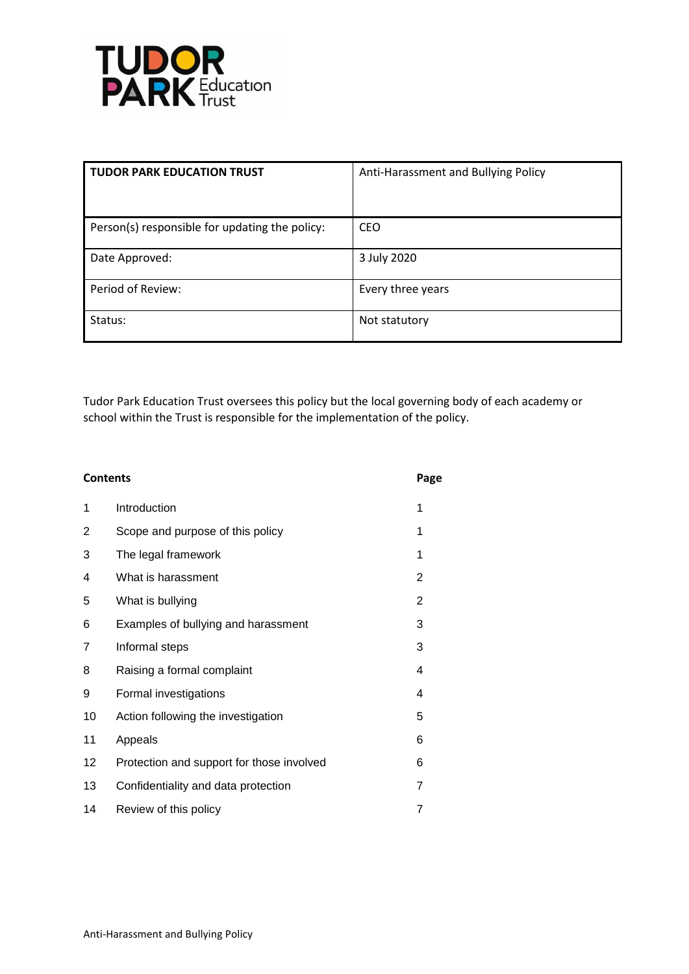

| <b>TUDOR PARK EDUCATION TRUST</b>              | Anti-Harassment and Bullying Policy |
|------------------------------------------------|-------------------------------------|
| Person(s) responsible for updating the policy: | <b>CEO</b>                          |
| Date Approved:                                 | 3 July 2020                         |
| Period of Review:                              | Every three years                   |
| Status:                                        | Not statutory                       |

Tudor Park Education Trust oversees this policy but the local governing body of each academy or school within the Trust is responsible for the implementation of the policy.

| <b>Contents</b> |                                           | Page           |
|-----------------|-------------------------------------------|----------------|
| 1               | Introduction                              | 1              |
| 2               | Scope and purpose of this policy          | 1              |
| 3               | The legal framework                       | 1              |
| 4               | What is harassment                        | $\overline{2}$ |
| 5               | What is bullying                          | 2              |
| 6               | Examples of bullying and harassment       | 3              |
| 7               | Informal steps                            | 3              |
| 8               | Raising a formal complaint                | 4              |
| 9               | Formal investigations                     | 4              |
| 10              | Action following the investigation        | 5              |
| 11              | Appeals                                   | 6              |
| 12              | Protection and support for those involved | 6              |
| 13              | Confidentiality and data protection       | 7              |
| 14              | Review of this policy                     | 7              |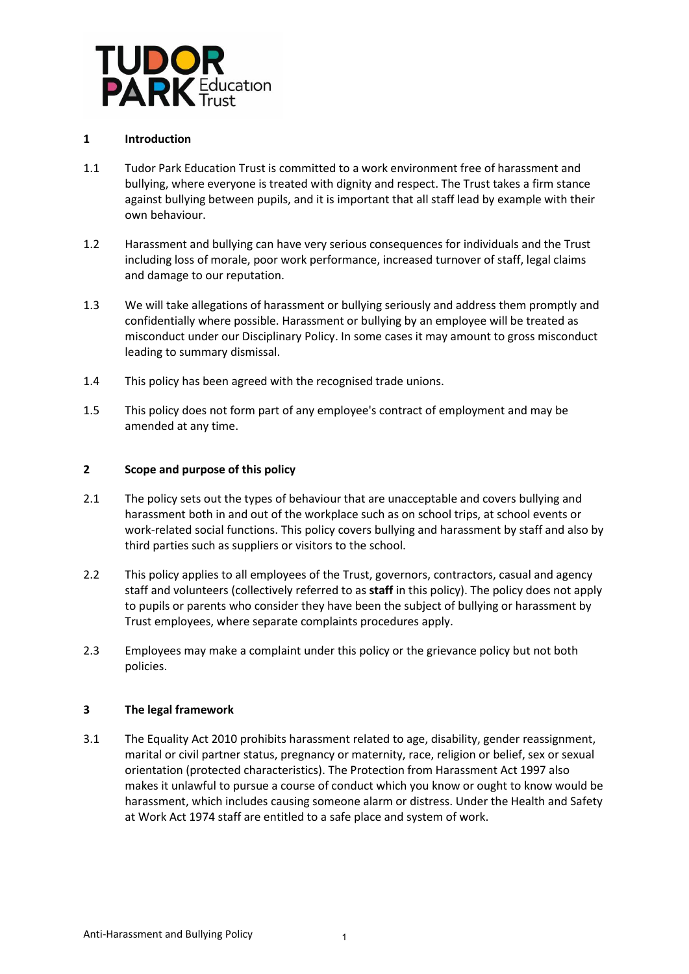

## **1 Introduction**

- 1.1 Tudor Park Education Trust is committed to a work environment free of harassment and bullying, where everyone is treated with dignity and respect. The Trust takes a firm stance against bullying between pupils, and it is important that all staff lead by example with their own behaviour.
- 1.2 Harassment and bullying can have very serious consequences for individuals and the Trust including loss of morale, poor work performance, increased turnover of staff, legal claims and damage to our reputation.
- 1.3 We will take allegations of harassment or bullying seriously and address them promptly and confidentially where possible. Harassment or bullying by an employee will be treated as misconduct under our Disciplinary Policy. In some cases it may amount to gross misconduct leading to summary dismissal.
- 1.4 This policy has been agreed with the recognised trade unions.
- 1.5 This policy does not form part of any employee's contract of employment and may be amended at any time.

## **2 Scope and purpose of this policy**

- 2.1 The policy sets out the types of behaviour that are unacceptable and covers bullying and harassment both in and out of the workplace such as on school trips, at school events or work-related social functions. This policy covers bullying and harassment by staff and also by third parties such as suppliers or visitors to the school.
- 2.2 This policy applies to all employees of the Trust, governors, contractors, casual and agency staff and volunteers (collectively referred to as **staff** in this policy). The policy does not apply to pupils or parents who consider they have been the subject of bullying or harassment by Trust employees, where separate complaints procedures apply.
- 2.3 Employees may make a complaint under this policy or the grievance policy but not both policies.

#### **3 The legal framework**

3.1 The Equality Act 2010 prohibits harassment related to age, disability, gender reassignment, marital or civil partner status, pregnancy or maternity, race, religion or belief, sex or sexual orientation (protected characteristics). The Protection from Harassment Act 1997 also makes it unlawful to pursue a course of conduct which you know or ought to know would be harassment, which includes causing someone alarm or distress. Under the Health and Safety at Work Act 1974 staff are entitled to a safe place and system of work.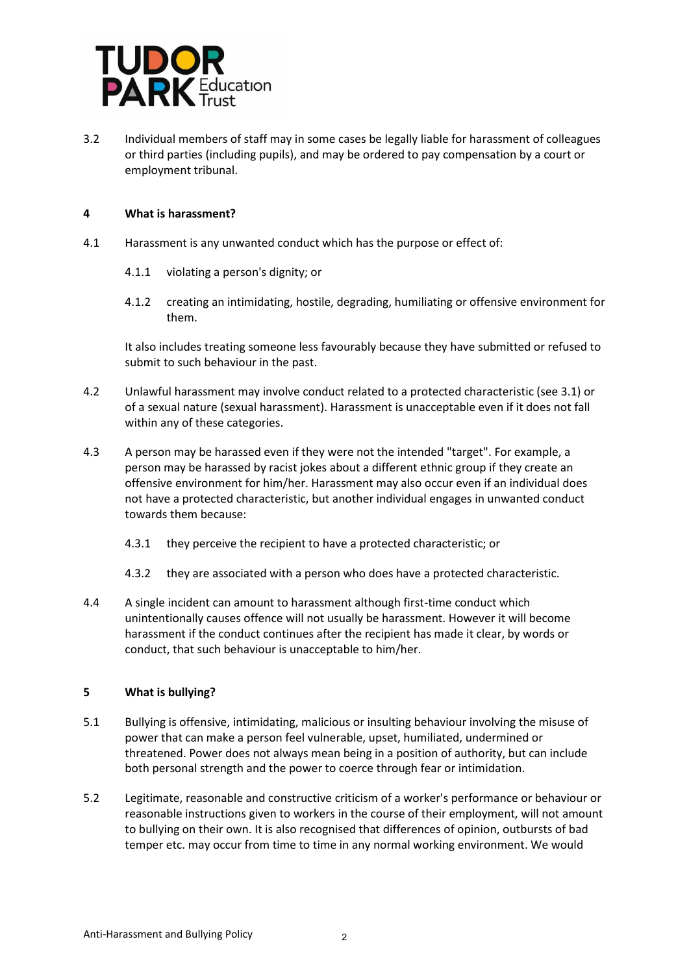

3.2 Individual members of staff may in some cases be legally liable for harassment of colleagues or third parties (including pupils), and may be ordered to pay compensation by a court or employment tribunal.

### **4 What is harassment?**

- 4.1 Harassment is any unwanted conduct which has the purpose or effect of:
	- 4.1.1 violating a person's dignity; or
	- 4.1.2 creating an intimidating, hostile, degrading, humiliating or offensive environment for them.

It also includes treating someone less favourably because they have submitted or refused to submit to such behaviour in the past.

- 4.2 Unlawful harassment may involve conduct related to a protected characteristic (see 3.1) or of a sexual nature (sexual harassment). Harassment is unacceptable even if it does not fall within any of these categories.
- 4.3 A person may be harassed even if they were not the intended "target". For example, a person may be harassed by racist jokes about a different ethnic group if they create an offensive environment for him/her. Harassment may also occur even if an individual does not have a protected characteristic, but another individual engages in unwanted conduct towards them because:
	- 4.3.1 they perceive the recipient to have a protected characteristic; or
	- 4.3.2 they are associated with a person who does have a protected characteristic.
- 4.4 A single incident can amount to harassment although first-time conduct which unintentionally causes offence will not usually be harassment. However it will become harassment if the conduct continues after the recipient has made it clear, by words or conduct, that such behaviour is unacceptable to him/her.

#### **5 What is bullying?**

- 5.1 Bullying is offensive, intimidating, malicious or insulting behaviour involving the misuse of power that can make a person feel vulnerable, upset, humiliated, undermined or threatened. Power does not always mean being in a position of authority, but can include both personal strength and the power to coerce through fear or intimidation.
- 5.2 Legitimate, reasonable and constructive criticism of a worker's performance or behaviour or reasonable instructions given to workers in the course of their employment, will not amount to bullying on their own. It is also recognised that differences of opinion, outbursts of bad temper etc. may occur from time to time in any normal working environment. We would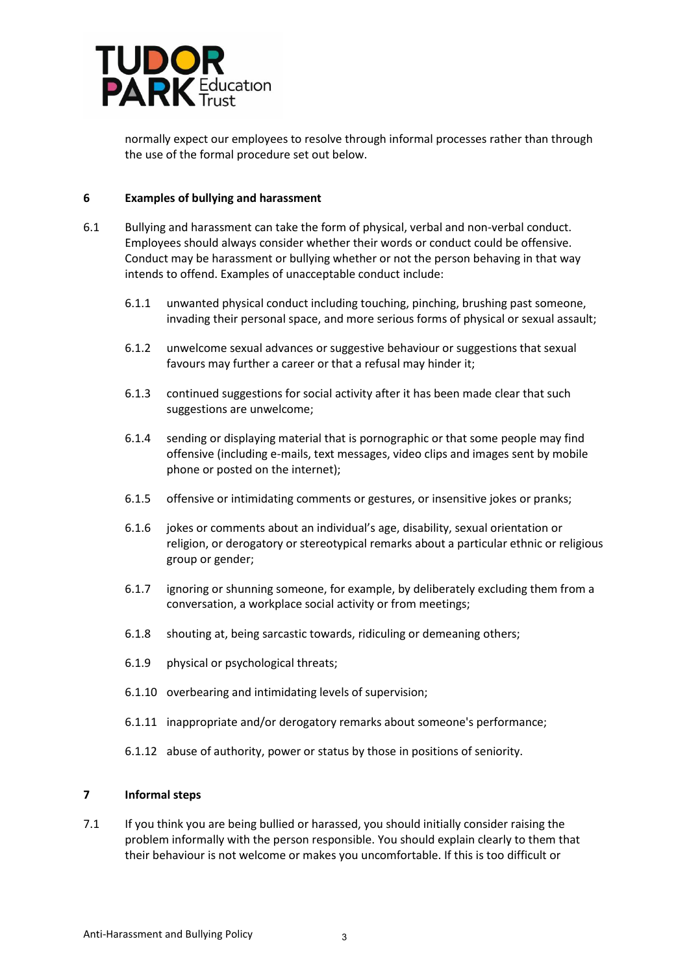

normally expect our employees to resolve through informal processes rather than through the use of the formal procedure set out below.

#### **6 Examples of bullying and harassment**

- 6.1 Bullying and harassment can take the form of physical, verbal and non-verbal conduct. Employees should always consider whether their words or conduct could be offensive. Conduct may be harassment or bullying whether or not the person behaving in that way intends to offend. Examples of unacceptable conduct include:
	- 6.1.1 unwanted physical conduct including touching, pinching, brushing past someone, invading their personal space, and more serious forms of physical or sexual assault;
	- 6.1.2 unwelcome sexual advances or suggestive behaviour or suggestions that sexual favours may further a career or that a refusal may hinder it;
	- 6.1.3 continued suggestions for social activity after it has been made clear that such suggestions are unwelcome;
	- 6.1.4 sending or displaying material that is pornographic or that some people may find offensive (including e-mails, text messages, video clips and images sent by mobile phone or posted on the internet);
	- 6.1.5 offensive or intimidating comments or gestures, or insensitive jokes or pranks;
	- 6.1.6 jokes or comments about an individual's age, disability, sexual orientation or religion, or derogatory or stereotypical remarks about a particular ethnic or religious group or gender;
	- 6.1.7 ignoring or shunning someone, for example, by deliberately excluding them from a conversation, a workplace social activity or from meetings;
	- 6.1.8 shouting at, being sarcastic towards, ridiculing or demeaning others;
	- 6.1.9 physical or psychological threats;
	- 6.1.10 overbearing and intimidating levels of supervision;
	- 6.1.11 inappropriate and/or derogatory remarks about someone's performance;
	- 6.1.12 abuse of authority, power or status by those in positions of seniority.

## **7 Informal steps**

7.1 If you think you are being bullied or harassed, you should initially consider raising the problem informally with the person responsible. You should explain clearly to them that their behaviour is not welcome or makes you uncomfortable. If this is too difficult or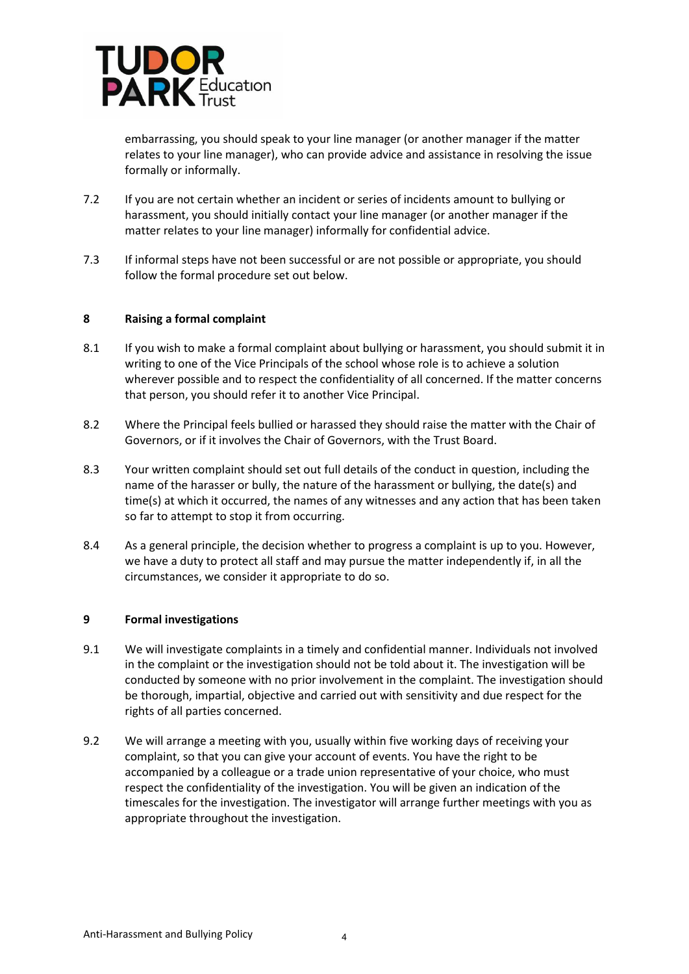

embarrassing, you should speak to your line manager (or another manager if the matter relates to your line manager), who can provide advice and assistance in resolving the issue formally or informally.

- 7.2 If you are not certain whether an incident or series of incidents amount to bullying or harassment, you should initially contact your line manager (or another manager if the matter relates to your line manager) informally for confidential advice.
- 7.3 If informal steps have not been successful or are not possible or appropriate, you should follow the formal procedure set out below.

#### **8 Raising a formal complaint**

- 8.1 If you wish to make a formal complaint about bullying or harassment, you should submit it in writing to one of the Vice Principals of the school whose role is to achieve a solution wherever possible and to respect the confidentiality of all concerned. If the matter concerns that person, you should refer it to another Vice Principal.
- 8.2 Where the Principal feels bullied or harassed they should raise the matter with the Chair of Governors, or if it involves the Chair of Governors, with the Trust Board.
- 8.3 Your written complaint should set out full details of the conduct in question, including the name of the harasser or bully, the nature of the harassment or bullying, the date(s) and time(s) at which it occurred, the names of any witnesses and any action that has been taken so far to attempt to stop it from occurring.
- 8.4 As a general principle, the decision whether to progress a complaint is up to you. However, we have a duty to protect all staff and may pursue the matter independently if, in all the circumstances, we consider it appropriate to do so.

# **9 Formal investigations**

- 9.1 We will investigate complaints in a timely and confidential manner. Individuals not involved in the complaint or the investigation should not be told about it. The investigation will be conducted by someone with no prior involvement in the complaint. The investigation should be thorough, impartial, objective and carried out with sensitivity and due respect for the rights of all parties concerned.
- 9.2 We will arrange a meeting with you, usually within five working days of receiving your complaint, so that you can give your account of events. You have the right to be accompanied by a colleague or a trade union representative of your choice, who must respect the confidentiality of the investigation. You will be given an indication of the timescales for the investigation. The investigator will arrange further meetings with you as appropriate throughout the investigation.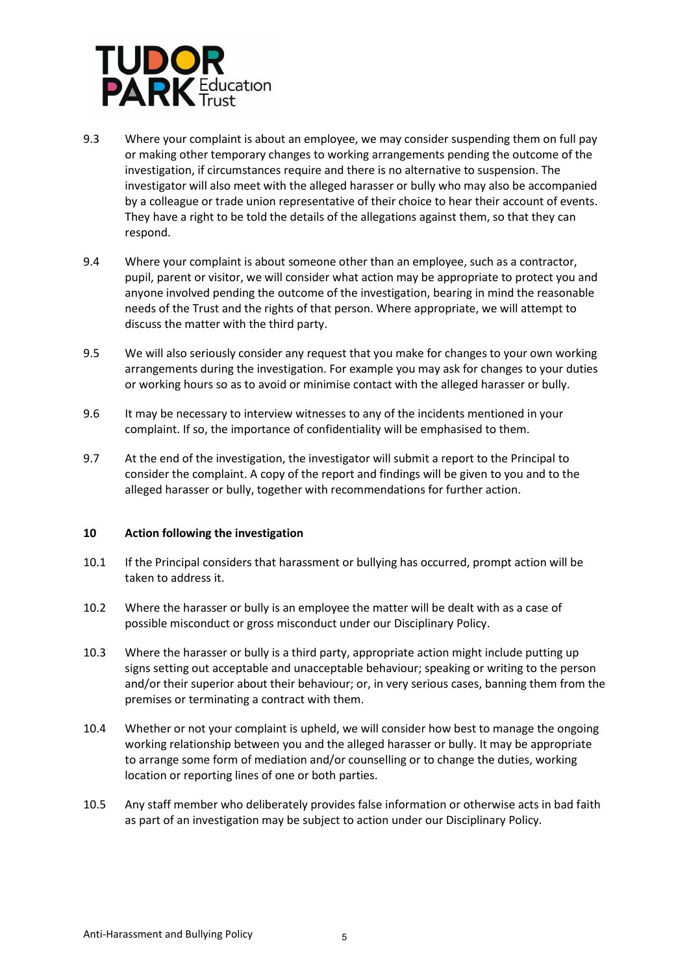

- 9.3 Where your complaint is about an employee, we may consider suspending them on full pay or making other temporary changes to working arrangements pending the outcome of the investigation, if circumstances require and there is no alternative to suspension. The investigator will also meet with the alleged harasser or bully who may also be accompanied by a colleague or trade union representative of their choice to hear their account of events. They have a right to be told the details of the allegations against them, so that they can respond.
- 9.4 Where your complaint is about someone other than an employee, such as a contractor, pupil, parent or visitor, we will consider what action may be appropriate to protect you and anyone involved pending the outcome of the investigation, bearing in mind the reasonable needs of the Trust and the rights of that person. Where appropriate, we will attempt to discuss the matter with the third party.
- 9.5 We will also seriously consider any request that you make for changes to your own working arrangements during the investigation. For example you may ask for changes to your duties or working hours so as to avoid or minimise contact with the alleged harasser or bully.
- 9.6 It may be necessary to interview witnesses to any of the incidents mentioned in your complaint. If so, the importance of confidentiality will be emphasised to them.
- 9.7 At the end of the investigation, the investigator will submit a report to the Principal to consider the complaint. A copy of the report and findings will be given to you and to the alleged harasser or bully, together with recommendations for further action.

#### **10 Action following the investigation**

- 10.1 If the Principal considers that harassment or bullying has occurred, prompt action will be taken to address it.
- 10.2 Where the harasser or bully is an employee the matter will be dealt with as a case of possible misconduct or gross misconduct under our Disciplinary Policy.
- 10.3 Where the harasser or bully is a third party, appropriate action might include putting up signs setting out acceptable and unacceptable behaviour; speaking or writing to the person and/or their superior about their behaviour; or, in very serious cases, banning them from the premises or terminating a contract with them.
- 10.4 Whether or not your complaint is upheld, we will consider how best to manage the ongoing working relationship between you and the alleged harasser or bully. It may be appropriate to arrange some form of mediation and/or counselling or to change the duties, working location or reporting lines of one or both parties.
- 10.5 Any staff member who deliberately provides false information or otherwise acts in bad faith as part of an investigation may be subject to action under our Disciplinary Policy.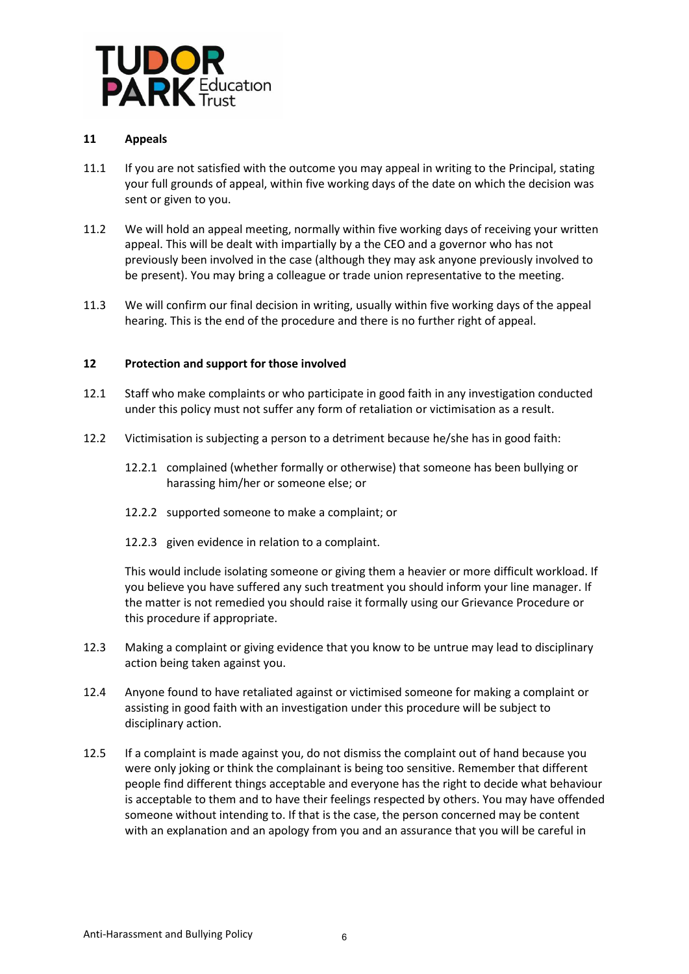

## **11 Appeals**

- 11.1 If you are not satisfied with the outcome you may appeal in writing to the Principal, stating your full grounds of appeal, within five working days of the date on which the decision was sent or given to you.
- 11.2 We will hold an appeal meeting, normally within five working days of receiving your written appeal. This will be dealt with impartially by a the CEO and a governor who has not previously been involved in the case (although they may ask anyone previously involved to be present). You may bring a colleague or trade union representative to the meeting.
- 11.3 We will confirm our final decision in writing, usually within five working days of the appeal hearing. This is the end of the procedure and there is no further right of appeal.

#### **12 Protection and support for those involved**

- 12.1 Staff who make complaints or who participate in good faith in any investigation conducted under this policy must not suffer any form of retaliation or victimisation as a result.
- 12.2 Victimisation is subjecting a person to a detriment because he/she has in good faith:
	- 12.2.1 complained (whether formally or otherwise) that someone has been bullying or harassing him/her or someone else; or
	- 12.2.2 supported someone to make a complaint; or
	- 12.2.3 given evidence in relation to a complaint.

This would include isolating someone or giving them a heavier or more difficult workload. If you believe you have suffered any such treatment you should inform your line manager. If the matter is not remedied you should raise it formally using our Grievance Procedure or this procedure if appropriate.

- 12.3 Making a complaint or giving evidence that you know to be untrue may lead to disciplinary action being taken against you.
- 12.4 Anyone found to have retaliated against or victimised someone for making a complaint or assisting in good faith with an investigation under this procedure will be subject to disciplinary action.
- 12.5 If a complaint is made against you, do not dismiss the complaint out of hand because you were only joking or think the complainant is being too sensitive. Remember that different people find different things acceptable and everyone has the right to decide what behaviour is acceptable to them and to have their feelings respected by others. You may have offended someone without intending to. If that is the case, the person concerned may be content with an explanation and an apology from you and an assurance that you will be careful in